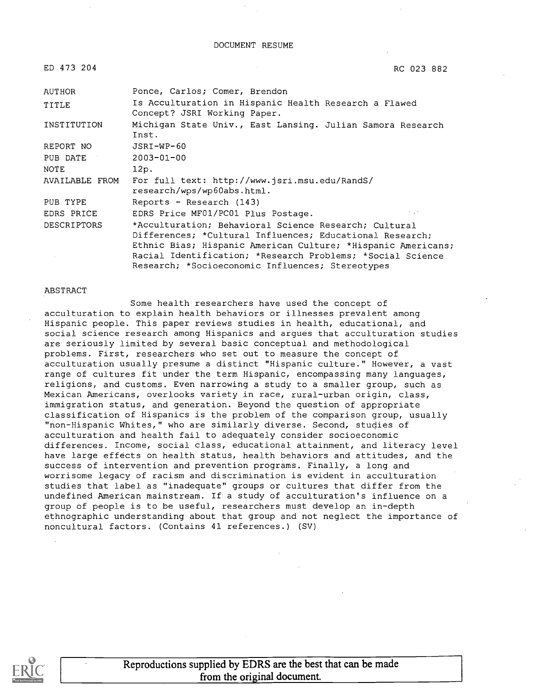| ED 473 204         | RC 023 882                                                                                                                                                                                                                                                                                          |
|--------------------|-----------------------------------------------------------------------------------------------------------------------------------------------------------------------------------------------------------------------------------------------------------------------------------------------------|
| <b>AUTHOR</b>      | Ponce, Carlos; Comer, Brendon                                                                                                                                                                                                                                                                       |
| TITLE              | Is Acculturation in Hispanic Health Research a Flawed<br>Concept? JSRI Working Paper.                                                                                                                                                                                                               |
| INSTITUTION        | Michigan State Univ., East Lansing. Julian Samora Research<br>Inst.                                                                                                                                                                                                                                 |
| REPORT NO          | JSRI-WP-60                                                                                                                                                                                                                                                                                          |
| PUB DATE           | $2003 - 01 - 00$                                                                                                                                                                                                                                                                                    |
| NOTE               | 12p.                                                                                                                                                                                                                                                                                                |
| AVAILABLE FROM     | For full text: http://www.jsri.msu.edu/RandS/<br>research/wps/wp60abs.html.                                                                                                                                                                                                                         |
| PUB TYPE           | Reports - Research (143)                                                                                                                                                                                                                                                                            |
| EDRS PRICE         | $\sim$ , $\sim$<br>EDRS Price MF01/PC01 Plus Postage.                                                                                                                                                                                                                                               |
| <b>DESCRIPTORS</b> | *Acculturation; Behavioral Science Research; Cultural<br>Differences; *Cultural Influences; Educational Research;<br>Ethnic Bias; Hispanic American Culture; *Hispanic Americans;<br>Racial Identification; *Research Problems; *Social Science<br>Research; *Socioeconomic Influences; Stereotypes |

#### ABSTRACT

Some health researchers have used the concept of acculturation to explain health behaviors or illnesses prevalent among Hispanic people. This paper reviews studies in health, educational, and social science research among Hispanics and argues that acculturation studies are seriously limited by several basic conceptual and methodological problems. First, researchers who set out to measure the concept of acculturation usually presume a distinct "Hispanic culture." However, a vast range of cultures fit under the term Hispanic, encompassing many languages, religions, and customs. Even narrowing a study to a smaller group, such as Mexican Americans, overlooks variety in race, rural-urban origin, class, immigration status, and generation. Beyond the question of appropriate classification of Hispanics is the problem of the comparison group, usually "non-Hispanic Whites," who are similarly diverse. Second, studies of acculturation and health fail to adequately consider socioeconomic differences. Income, social class, educational attainment, and literacy level have large effects on health status, health behaviors and attitudes, and the success of intervention and prevention programs. Finally, a long and worrisome legacy of racism and discrimination is evident in acculturation studies that label as "inadequate" groups or cultures that differ from the undefined American mainstream. If a study of acculturation's influence on a group of people is to be useful, researchers must develop an in-depth ethnographic understanding about that group and not neglect the importance of noncultural factors. (Contains 41 references.) (SV)

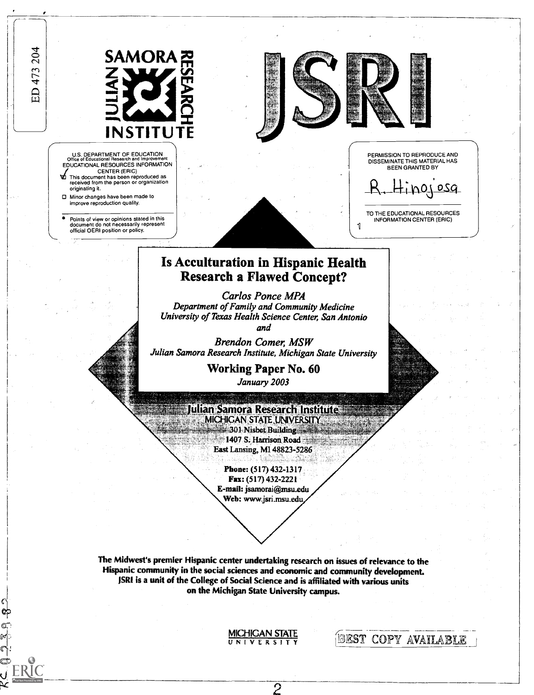ED 473 204



U.S. DEPARTMENT OF EDUCATION Office of Educational Research and Improvement EDUCATIONAL RESOURCES INFORMATION

- CENTER (ERIC) This document has been reproduced as received from the person or organization originating it.
- 0 Minor changes have been made to improve reproduction quality.
- Points of view or opinions stated in this document do not necessarily represent official OERI position or policy. 1





PERMISSION TO REPRODUCE AND DISSEMINATE THIS MATERIAL HAS BEEN GRANTED BY

Hinojosa

TO THE EDUCATIONAL RESOURCES INFORMATION CENTER (ERIC)

BEST COPY AVAILABLE

# Is Acculturation in Hispanic Health Research a Flawed Concept?

Carlos Ponce MPA Department of Family and Community Medicine University of Texas Health Science Center, San Antonio and



Brendon Comer, MSW Julian Samora Research Institute, Michigan State University

> Working Paper No. 60 January 2003

Julian Samora Research Institute H MICHIGAN STATE UNIVERSITY 301 Nisbet Building  $\frac{1}{2}$  1407 S. Harrison Road ,  $\frac{1}{2}$ East Lansing, MI 48823-5286

> Phone: (517) 432-1317 Fax: (517) 432-2221 E-mail: jsamorai@msu.edu Web: www.jsri.msu.edu,

The Midwest's premier Hispanic center undertaking research on issues of relevance to the Hispanic community in the social sciences and economic and community development. !SRI is a unit of the College of Social Science and is affiliated with various units on the Michigan State University campus.

**MICHIGAN STATE** 

 $\overline{2}$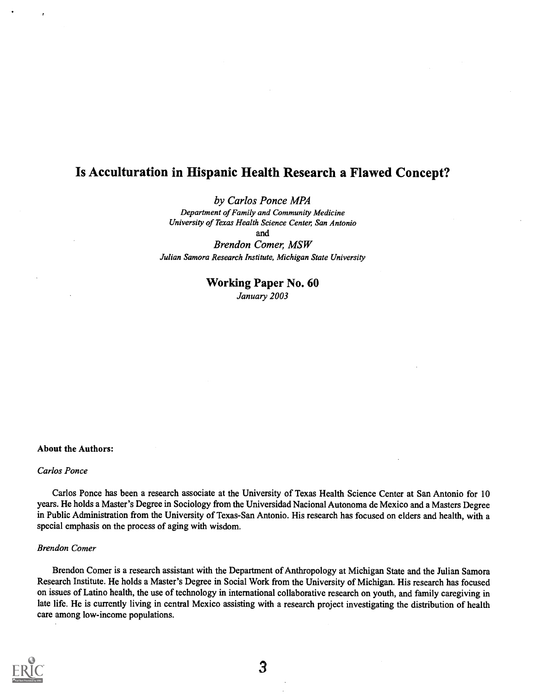## Is Acculturation in Hispanic Health Research a Flawed Concept?

### by Carlos Ponce MPA

Department of Family and Community Medicine University of Texas Health Science Center, San Antonio and Brendon Comer, MSW

Julian Samora Research Institute, Michigan State University

### Working Paper No. 60 January 2003

### About the Authors:

#### Carlos Ponce

Carlos Ponce has been a research associate at the University of Texas Health Science Center at San Antonio for 10 years. He holds a Master's Degree in Sociology from the Universidad Nacional Autonoma de Mexico and a Masters Degree in Public Administration from the University of Texas-San Antonio. His research has focused on elders and health, with a special emphasis on the process of aging with wisdom.

#### Brendon Comer

Brendon Comer is a research assistant with the Department of Anthropology at Michigan State and the Julian Samora Research Institute. He holds a Master's Degree in Social Work from the University of Michigan. His research has focused on issues of Latino health, the use of technology in international collaborative research on youth, and family caregiving in late life. He is currently living in central Mexico assisting with a research project investigating the distribution of health care among low-income populations.

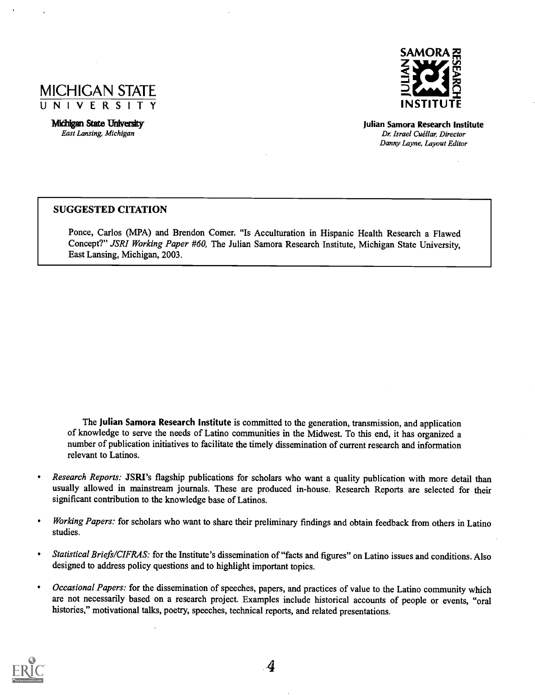

Michigan State University East Lansing, Michigan



Julian Samora Research Institute Dr. Israel Cuéllar, Director Danny Layne, Layout Editor

### SUGGESTED CITATION

Ponce, Carlos (MPA) and Brendon Comer. "Is Acculturation in Hispanic Health Research a Flawed Concept?" JSRI Working Paper #60, The Julian Samora Research Institute, Michigan State University, East Lansing, Michigan, 2003.

The Julian Samora Research Institute is committed to the generation, transmission, and application of knowledge to serve the needs of Latino communities in the Midwest. To this end, it has organized a number of publication initiatives to facilitate the timely dissemination of current research and information relevant to Latinos.

- Research Reports: JSRI's flagship publications for scholars who want a quality publication with more detail than  $\bullet$ usually allowed in mainstream journals. These are produced in-house. Research Reports are selected for their significant contribution to the knowledge base of Latinos.
- Working Papers: for scholars who want to share their preliminary findings and obtain feedback from others in Latino studies.
- Statistical Briefs/CIFRAS: for the Institute's dissemination of "facts and figures" on Latino issues and conditions. Also  $\bullet$ designed to address policy questions and to highlight important topics.
- Occasional Papers: for the dissemination of speeches, papers, and practices of value to the Latino community which are not necessarily based on a research project. Examples include historical accounts of people or events, "oral histories," motivational talks, poetry, speeches, technical reports, and related presentations.

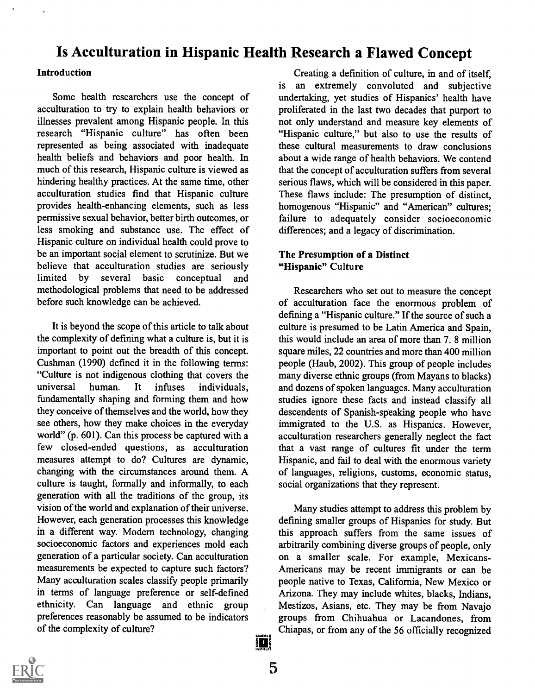# Is Acculturation in Hispanic Health Research a Flawed Concept

### **Introduction**

Some health researchers use the concept of acculturation to try to explain health behaviors or illnesses prevalent among Hispanic people. In this research "Hispanic culture" has often been represented as being associated with inadequate health beliefs and behaviors and poor health. In much of this research, Hispanic culture is viewed as hindering healthy practices. At the same time, other acculturation studies find that Hispanic culture provides health-enhancing elements, such as less permissive sexual behavior, better birth outcomes, or less smoking and substance use. The effect of Hispanic culture on individual health could prove to be an important social element to scrutinize. But we believe that acculturation studies are seriously limited by several basic conceptual and methodological problems that need to be addressed before such knowledge can be achieved.

It is beyond the scope of this article to talk about the complexity of defining what a culture is, but it is important to point out the breadth of this concept. Cushman (1990) defined it in the following terms: "Culture is not indigenous clothing that covers the universal human. It infuses individuals, fundamentally shaping and forming them and how they conceive of themselves and the world, how they see others, how they make choices in the everyday world" (p. 601). Can this process be captured with a few closed-ended questions, as acculturation measures attempt to do? Cultures are dynamic, changing with the circumstances around them. A culture is taught, formally and informally, to each generation with all the traditions of the group, its vision of the world and explanation of their universe. However, each generation processes this knowledge in a different way. Modem technology, changing socioeconomic factors and experiences mold each generation of a particular society. Can acculturation measurements be expected to capture such factors? Many acculturation scales classify people primarily in terms of language preference or self-defined ethnicity. Can language and ethnic group preferences reasonably be assumed to be indicators of the complexity of culture?

Creating a definition of culture, in and of itself, is an extremely convoluted and subjective undertaking, yet studies of Hispanics' health have proliferated in the last two decades that purport to not only understand and measure key elements of "Hispanic culture," but also to use the results of these cultural measurements to draw conclusions about a wide range of health behaviors. We contend that the concept of acculturation suffers from several serious flaws, which will be considered in this paper. These flaws include: The presumption of distinct, homogenous "Hispanic" and "American" cultures; failure to adequately consider socioeconomic differences; and a legacy of discrimination.

### The Presumption of a Distinct "Hispanic" Culture

Researchers who set out to measure the concept of acculturation face the enormous problem of defining a "Hispanic culture." If the source of such a culture is presumed to be Latin America and Spain, this would include an area of more than 7. 8 million square miles, 22 countries and more than 400 million people (Haub, 2002). This group of people includes many diverse ethnic groups (from Mayans to blacks) and dozens of spoken languages. Many acculturation studies ignore these facts and instead classify all descendents of Spanish-speaking people who have immigrated to the U.S. as Hispanics. However, acculturation researchers generally neglect the fact that a vast range of cultures fit under the term Hispanic, and fail to deal with the enormous variety of languages, religions, customs, economic status, social organizations that they represent.

Many studies attempt to address this problem by defining smaller groups of Hispanics for study. But this approach suffers from the same issues of arbitrarily combining diverse groups of people, only on a smaller scale. For example, Mexicans-Americans may be recent immigrants or can be people native to Texas, California, New Mexico or Arizona. They may include whites, blacks, Indians, Mestizos, Asians, etc. They may be from Navajo groups from Chihuahua or Lacandones, from Chiapas, or from any of the 56 officially recognized



5

i T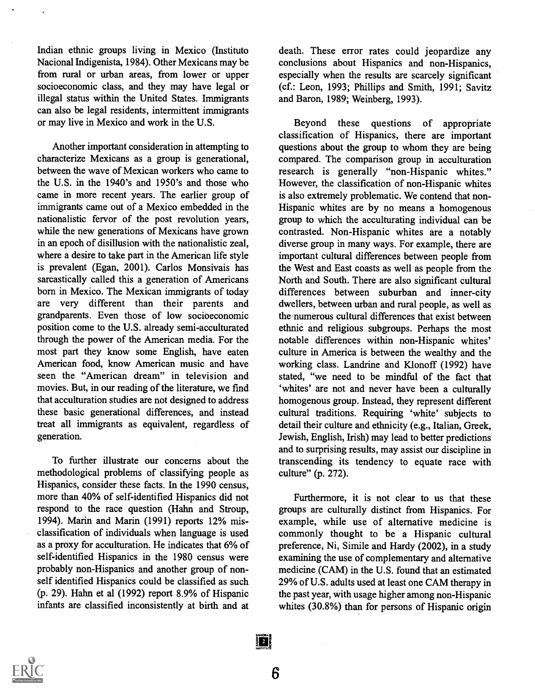Indian ethnic groups living in Mexico (Instituto Nacional Indigenista, 1984). Other Mexicans may be from rural or urban areas, from lower or upper socioeconomic class, and they may have legal or illegal status within the United States. Immigrants can also be legal residents, intermittent immigrants or may live in Mexico and work in the U.S.

Another important consideration in attempting to characterize Mexicans as a group is generational, between the wave of Mexican workers who came to the U.S. in the 1940's and 1950's and those who came in more recent years. The earlier group of immigrants came out of a Mexico embedded in the nationalistic fervor of the post revolution years, while the new generations of Mexicans have grown in an epoch of disillusion with the nationalistic zeal, where a desire to take part in the American life style is prevalent (Egan, 2001). Carlos Monsivais has sarcastically called this a generation of Americans born in Mexico. The Mexican immigrants of today are very different than their parents and grandparents. Even those of low socioeconomic position come to the U.S. already semi-acculturated through the power of the American media. For the most part they know some English, have eaten American food, know American music and have seen the "American dream" in television and movies. But, in our reading of the literature, we find that acculturation studies are not designed to address these basic generational differences, and instead treat all immigrants as equivalent, regardless of generation.

To further illustrate our concerns about the methodological problems of classifying people as Hispanics, consider these facts. In the 1990 census, more than 40% of self-identified Hispanics did not respond to the race question (Hahn and Stroup, 1994). Marin and Marin (1991) reports 12% misclassification of individuals when language is used as a proxy for acculturation. He indicates that 6% of self-identified Hispanics in the 1980 census were probably non-Hispanics and another group of nonself identified Hispanics could be classified as such (p. 29). Hahn et al (1992) report 8.9% of Hispanic infants are classified inconsistently at birth and at death. These error rates could jeopardize any conclusions about Hispanics and non-Hispanics, especially when the results are scarcely significant (cf.: Leon, 1993; Phillips and Smith, 1991; Savitz and Baron, 1989; Weinberg, 1993).

Beyond these questions of appropriate classification of Hispanics, there are important questions about the group to whom they are being compared. The comparison group in acculturation research is generally "non-Hispanic whites." However, the classification of non-Hispanic whites is also extremely problematic. We contend that non-Hispanic whites are by no means a homogenous group to which the acculturating individual can be contrasted. Non-Hispanic whites are a notably diverse group in many ways. For example, there are important cultural differences between people from the West and East coasts as well as people from the North and South. There are also significant cultural differences between suburban and inner-city dwellers, between urban and rural people, as well as the numerous cultural differences that exist between ethnic and religious subgroups. Perhaps the most notable differences within non-Hispanic whites' culture in America is between the wealthy and the working class. Landrine and Klonoff (1992) have stated, "we need to be mindful of the fact that 'whites' are not and never have been a culturally homogenous group. Instead, they represent different cultural traditions. Requiring 'white' subjects to detail their culture and ethnicity (e.g., Italian, Greek, Jewish, English, Irish) may lead to better predictions and to surprising results, may assist our discipline in transcending its tendency to equate race with culture" (p. 272).

Furthermore, it is not clear to us that these groups are culturally distinct from Hispanics. For example, while use of alternative medicine is commonly thought to be a Hispanic cultural preference, Ni, Simile and Hardy (2002), in a study examining the use of complementary and alternative medicine (CAM) in the U.S. found that an estimated 29% of U.S. adults used at least one CAM therapy in the past year, with usage higher among non-Hispanic whites (30.8%) than for persons of Hispanic origin



担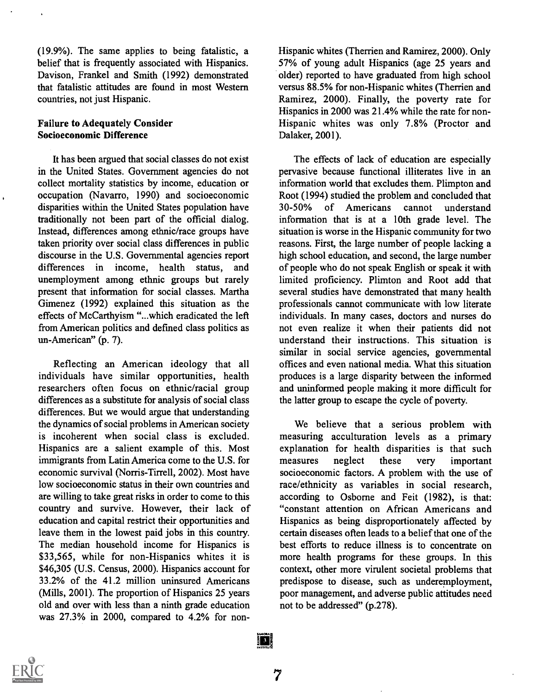(19.9%). The same applies to being fatalistic, a belief that is frequently associated with Hispanics. Davison, Frankel and Smith (1992) demonstrated that fatalistic attitudes are found in most Western countries, not just Hispanic.

### Failure to Adequately Consider Socioeconomic Difference

It has been argued that social classes do not exist in the United States. Government agencies do not collect mortality statistics by income, education or occupation (Navarro, 1990) and socioeconomic disparities within the United States population have 30-50% traditionally not been part of the official dialog. Instead, differences among ethnic/race groups have taken priority over social class differences in public discourse in the U.S. Governmental agencies report differences in income, health status, and unemployment among ethnic groups but rarely present that information for social classes. Martha Gimenez (1992) explained this situation as the effects of McCarthyism "...which eradicated the left from American politics and defined class politics as un-American" (p. 7).

Reflecting an American ideology that all individuals have similar opportunities, health researchers often focus on ethnic/racial group differences as a substitute for analysis of social class differences. But we would argue that understanding the dynamics of social problems in American society is incoherent when social class is excluded. Hispanics are a salient example of this. Most immigrants from Latin America come to the U.S. for economic survival (Norris-Tirrell, 2002). Most have low socioeconomic status in their own countries and are willing to take great risks in order to come to this country and survive. However, their lack of education and capital restrict their opportunities and leave them in the lowest paid jobs in this country. The median household income for Hispanics is \$33,565, while for non-Hispanics whites it is \$46,305 (U.S. Census, 2000). Hispanics account for 33.2% of the 41.2 million uninsured Americans (Mills, 2001). The proportion of Hispanics 25 years old and over with less than a ninth grade education was 27.3% in 2000, compared to 4.2% for non-

Hispanic whites (Therrien and Ramirez, 2000). Only 57% of young adult Hispanics (age 25 years and older) reported to have graduated from high school versus 88.5% for non-Hispanic whites (Therrien and Ramirez, 2000). Finally, the poverty rate for Hispanics in 2000 was 21.4% while the rate for non-Hispanic whites was only 7.8% (Proctor and Dalaker, 2001).

The effects of lack of education are especially pervasive because functional illiterates live in an information world that excludes them. Plimpton and Root (1994) studied the problem and concluded that of Americans cannot understand information that is at a 10th grade level. The situation is worse in the Hispanic community for two reasons. First, the large number of people lacking a high school education, and second, the large number of people who do not speak English or speak it with limited proficiency. Plimton and Root add that several studies have demonstrated that many health professionals cannot communicate with low literate individuals. In many cases, doctors and nurses do not even realize it when their patients did not understand their instructions. This situation is similar in social service agencies, governmental offices and even national media. What this situation produces is a large disparity between the informed and uninformed people making it more difficult for the latter group to escape the cycle of poverty.

We believe that a serious problem with measuring acculturation levels as a primary explanation for health disparities is that such neglect these very important socioeconomic factors. A problem with the use of race/ethnicity as variables in social research, according to Osborne and Feit (1982), is that: "constant attention on African Americans and Hispanics as being disproportionately affected by certain diseases often leads to a belief that one of the best efforts to reduce illness is to concentrate on more health programs for these groups. In this context, other more virulent societal problems that predispose to disease, such as underemployment, poor management, and adverse public attitudes need not to be addressed" (p.278).



7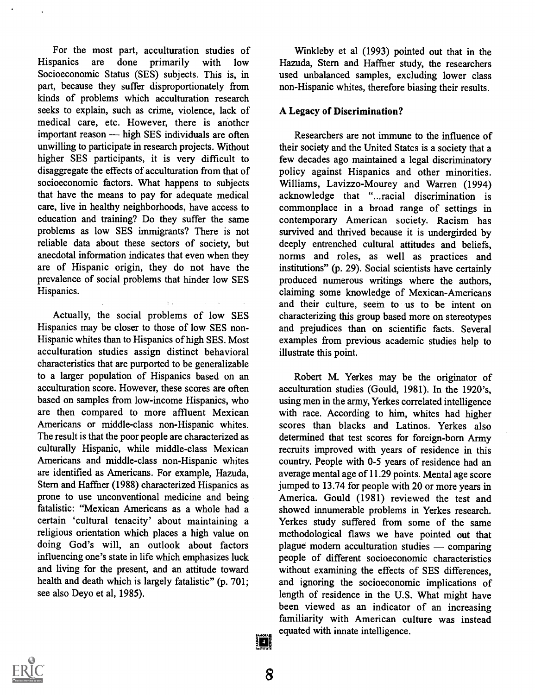For the most part, acculturation studies of<br>Hispanics are done primarily with low Hispanics are done primarily with low Hazuda, Stern and Haffner study, the researchers Socioeconomic Status (SES) subjects. This is, in part, because they suffer disproportionately from kinds of problems which acculturation research seeks to explain, such as crime, violence, lack of medical care, etc. However, there is another important reason — high SES individuals are often unwilling to participate in research projects. Without higher SES participants, it is very difficult to disaggregate the effects of acculturation from that of socioeconomic factors. What happens to subjects that have the means to pay for adequate medical care, live in healthy neighborhoods, have access to education and training? Do they suffer the same problems as low SES immigrants? There is not reliable data about these sectors of society, but anecdotal information indicates that even when they are of Hispanic origin, they do not have the prevalence of social problems that hinder low SES Hispanics.

Actually, the social problems of low SES Hispanics may be closer to those of low SES non-Hispanic whites than to Hispanics of high SES. Most acculturation studies assign distinct behavioral characteristics that are purported to be generalizable to a larger population of Hispanics based on an acculturation score. However, these scores are often based on samples from low-income Hispanics, who are then compared to more affluent Mexican Americans or middle-class non-Hispanic whites. The result is that the poor people are characterized as culturally Hispanic, while middle-class Mexican Americans and middle-class non-Hispanic whites are identified as Americans. For example, Hazuda, Stern and Haffner (1988) characterized Hispanics as prone to use unconventional medicine and being fatalistic: "Mexican Americans as a whole had a certain 'cultural tenacity' about maintaining a religious orientation which places a high value on doing God's will, an outlook about factors influencing one's state in life which emphasizes luck and living for the present, and an attitude toward health and death which is largely fatalistic" (p. 701; see also Deyo et al, 1985).

Winkleby et al (1993) pointed out that in the used unbalanced samples, excluding lower class non-Hispanic whites, therefore biasing their results.

### A Legacy of Discrimination?

Researchers are not immune to the influence of their society and the United States is a society that a few decades ago maintained a legal discriminatory policy against Hispanics and other minorities. Williams, Lavizzo-Mourey and Warren (1994) acknowledge that "...racial discrimination is commonplace in a broad range of settings in contemporary American society. Racism has survived and thrived because it is undergirded by deeply entrenched cultural attitudes and beliefs, norms and roles, as well as practices and institutions" (p. 29). Social scientists have certainly produced numerous writings where the authors, claiming some knowledge of Mexican-Americans and their culture, seem to us to be intent on characterizing this group based more on stereotypes and prejudices than on scientific facts. Several examples from previous academic studies help to illustrate this point.

Robert M. Yerkes may be the originator of acculturation studies (Gould, 1981). In the 1920's, using men in the army, Yerkes correlated intelligence with race. According to him, whites had higher scores than blacks and Latinos. Yerkes also determined that test scores for foreign-born Army recruits improved with years of residence in this country. People with 0-5 years of residence had an average mental age of 11.29 points. Mental age score jumped to 13.74 for people with 20 or more years in America. Gould (1981) reviewed the test and showed innumerable problems in Yerkes research. Yerkes study suffered from some of the same methodological flaws we have pointed out that plague modern acculturation studies  $\sim$  comparing people of different socioeconomic characteristics without examining the effects of SES differences, and ignoring the socioeconomic implications of length of residence in the U.S. What might have been viewed as an indicator of an increasing familiarity with American culture was instead equated with innate intelligence.



}∏ }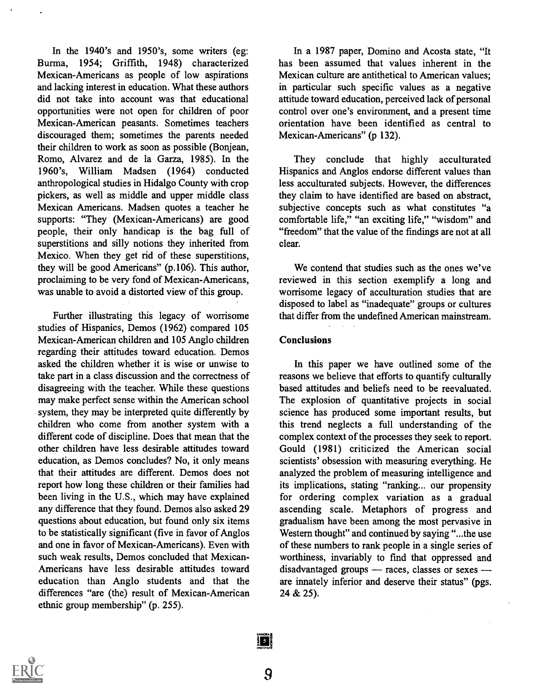In the 1940's and 1950's, some writers (eg: Burma, 1954; Griffith, 1948) characterized Mexican-Americans as people of low aspirations and lacking interest in education. What these authors did not take into account was that educational opportunities were not open for children of poor Mexican-American peasants. Sometimes teachers discouraged them; sometimes the parents needed their children to work as soon as possible (Bonjean, Romo, Alvarez and de la Garza, 1985). In the 1960's, William Madsen (1964) conducted anthropological studies in Hidalgo County with crop pickers, as well as middle and upper middle class Mexican Americans. Madsen quotes a teacher he supports: "They (Mexican-Americans) are good people, their only handicap is the bag full of superstitions and silly notions they inherited from Mexico. When they get rid of these superstitions, they will be good Americans" (p.106). This author, proclaiming to be very fond of Mexican-Americans, was unable to avoid a distorted view of this group.

Further illustrating this legacy of worrisome studies of Hispanics, Demos (1962) compared 105 Mexican-American children and 105 Anglo children regarding their attitudes toward education. Demos asked the children whether it is wise or unwise to take part in a class discussion and the correctness of disagreeing with the teacher. While these questions may make perfect sense within the American school system, they may be interpreted quite differently by children who come from another system with a different code of discipline. Does that mean that the other children have less desirable attitudes toward education, as Demos concludes? No, it only means that their attitudes are different. Demos does not report how long these children or their families had been living in the U.S., which may have explained any difference that they found. Demos also asked 29 questions about education, but found only six items to be statistically significant (five in favor of Anglos and one in favor of Mexican-Americans). Even with such weak results, Demos concluded that Mexican-Americans have less desirable attitudes toward education than Anglo students and that the differences "are (the) result of Mexican-American ethnic group membership" (p. 255).

In a 1987 paper, Domino and Acosta state, "It has been assumed that values inherent in the Mexican culture are antithetical to American values; in particular such specific values as a negative attitude toward education, perceived lack of personal control over one's environment, and a present time orientation have been identified as central to Mexican-Americans" (p 132).

They conclude that highly acculturated Hispanics and Anglos endorse different values than less acculturated subjects. However, the differences they claim to have identified are based on abstract, subjective concepts such as what constitutes "a comfortable life," "an exciting life," "wisdom" and "freedom" that the value of the findings are not at all clear.

We contend that studies such as the ones we've reviewed in this section exemplify a long and worrisome legacy of acculturation studies that are disposed to label as "inadequate" groups or cultures that differ from the undefined American mainstream.

## Conclusions

In this paper we have outlined some of the reasons we believe that efforts to quantify culturally based attitudes and beliefs need to be reevaluated. The explosion of quantitative projects in social science has produced some important results, but this trend neglects a full understanding of the complex context of the processes they seek to report. Gould (1981) criticized the American social scientists' obsession with measuring everything. He analyzed the problem of measuring intelligence and its implications, stating "ranking... our propensity for ordering complex variation as a gradual ascending scale. Metaphors of progress and gradualism have been among the most pervasive in Western thought" and continued by saying "...the use of these numbers to rank people in a single series of worthiness, invariably to find that oppressed and disadvantaged groups - races, classes or sexes are innately inferior and deserve their status" (pgs. 24 & 25).



9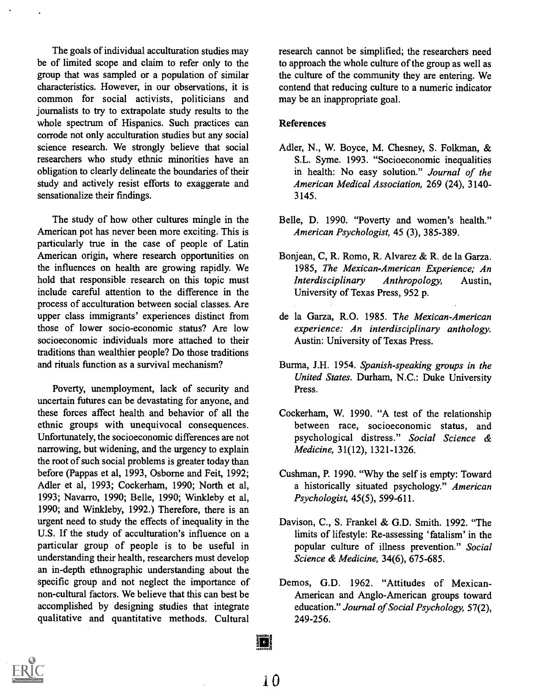The goals of individual acculturation studies may be of limited scope and claim to refer only to the group that was sampled or a population of similar characteristics. However, in our observations, it is common for social activists, politicians and journalists to try to extrapolate study results to the whole spectrum of Hispanics. Such practices can corrode not only acculturation studies but any social science research. We strongly believe that social researchers who study ethnic minorities have an obligation to clearly delineate the boundaries of their study and actively resist efforts to exaggerate and sensationalize their findings.

The study of how other cultures mingle in the American pot has never been more exciting. This is particularly true in the case of people of Latin American origin, where research opportunities on the influences on health are growing rapidly. We hold that responsible research on this topic must include careful attention to the difference in the process of acculturation between social classes. Are upper class immigrants' experiences distinct from those of lower socio-economic status? Are low socioeconomic individuals more attached to their traditions than wealthier people? Do those traditions and rituals function as a survival mechanism?

Poverty, unemployment, lack of security and uncertain futures can be devastating for anyone, and these forces affect health and behavior of all the ethnic groups with unequivocal consequences. Unfortunately, the socioeconomic differences are not narrowing, but widening, and the urgency to explain the root of such social problems is greater today than before (Pappas et al, 1993, Osborne and Feit, 1992; Adler et al, 1993; Cockerham, 1990; North et al, 1993; Navarro, 1990; Belle, 1990; Winkleby et al, 1990; and Winkleby, 1992.) Therefore, there is an urgent need to study the effects of inequality in the U.S. If the study of acculturation's influence on a particular group of people is to be useful in understanding their health, researchers must develop an in-depth ethnographic understanding about the specific group and not neglect the importance of non-cultural factors. We believe that this can best be accomplished by designing studies that integrate qualitative and quantitative methods. Cultural research cannot be simplified; the researchers need to approach the whole culture of the group as well as the culture of the community they are entering. We contend that reducing culture to a numeric indicator may be an inappropriate goal.

### References

- Adler, N., W. Boyce, M. Chesney, S. Folkman, & S.L. Syme. 1993. "Socioeconomic inequalities in health: No easy solution." Journal of the American Medical Association, 269 (24), 3140- 3145.
- Belle, D. 1990. "Poverty and women's health." American Psychologist, 45 (3), 385-389.
- Bonjean, C, R. Romo, R. Alvarez & R. de la Garza. 1985, The Mexican American Experience; An Interdisciplinary Anthropology, Austin, University of Texas Press, 952 p.
- de la Garza, R.O. 1985. The Mexican-American experience: An interdisciplinary anthology. Austin: University of Texas Press.
- Burma, J.H. 1954. Spanish-speaking groups in the United States. Durham, N.C.: Duke University Press.
- Cockerham, W. 1990. "A test of the relationship between race, socioeconomic status, and psychological distress." Social Science & Medicine, 31(12), 1321-1326.
- Cushman, P. 1990. "Why the self is empty: Toward a historically situated psychology." American Psychologist, 45(5), 599-611.
- Davison, C., S. Frankel & G.D. Smith. 1992. "The limits of lifestyle: Re-assessing 'fatalism' in the popular culture of illness prevention." Social Science & Medicine, 34(6), 675-685.
- Demos, G.D. 1962. "Attitudes of Mexican-American and Anglo-American groups toward education." Journal of Social Psychology, 57(2), 249-256.



**101**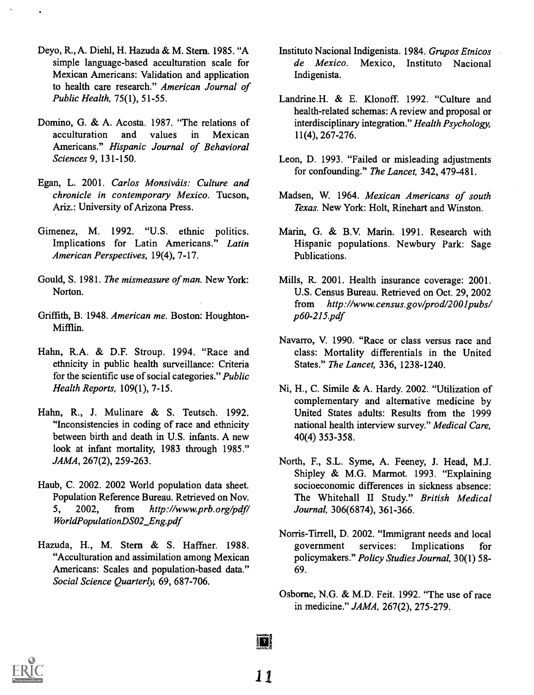- Deyo, R., A. Diehl, H. Hazuda & M. Stem. 1985. "A simple language-based acculturation scale for Mexican Americans: Validation and application to health care research." American Journal of Public Health, 75(1), 51-55.
- Domino, G. & A. Acosta. 1987. "The relations of acculturation and values in Mexican Americans." Hispanic Journal of Behavioral Sciences 9, 131-150.
- Egan, L. 2001. Carlos Monsiváis: Culture and chronicle in contemporary Mexico. Tucson, Ariz.: University of Arizona Press.
- Gimenez, M. 1992. "U.S. ethnic politics. Implications for Latin Americans." Latin American Perspectives, 19(4), 7-17.
- Gould, S. 1981. The mismeasure of man. New York: Norton.
- Griffith, B. 1948. American me. Boston: Houghton-Mifflin.
- Hahn, R.A. & D.F. Stroup. 1994. "Race and ethnicity in public health surveillance: Criteria for the scientific use of social categories." Public Health Reports, 109(1), 7-15.
- Hahn, R., J. Mulinare & S. Teutsch. 1992. "Inconsistencies in coding of race and ethnicity between birth and death in U.S. infants. A new look at infant mortality, 1983 through 1985." JAMA, 267(2), 259-263.
- Haub, C. 2002. 2002 World population data sheet. Population Reference Bureau. Retrieved on Nov. 5, 2002, from http://www.prb.org/pdf/ WorldPopulationDS02 Eng.pdf
- Hazuda, H., M. Stern & S. Haffner. 1988. "Acculturation and assimilation among Mexican Americans: Scales and population-based data." Social Science Quarterly, 69, 687-706.
- Institute Nacional Indigenista. 1984. Grupos Etnicos de Mexico. Mexico, Instituto Nacional Indigenista.
- Landrine.H. & E. Klonoff. 1992. "Culture and health-related schemas: A review and proposal or interdisciplinary integration." Health Psychology, 11(4), 267-276.
- Leon, D. 1993. "Failed or misleading adjustments for confounding." The Lancet, 342, 479-481.
- Madsen, W. 1964. Mexican Americans of south Texas. New York: Holt, Rinehart and Winston.
- Marin, G. & B.V. Marin. 1991. Research with Hispanic populations. Newbury Park: Sage Publications.
- Mills, R. 2001. Health insurance coverage: 2001. U.S. Census Bureau. Retrieved on Oct. 29, 2002 from http://www.census.gov/prod/2001pubs/ p60-215.pdf
- Navarro, V. 1990. "Race or class versus race and class: Mortality differentials in the United States." The Lancet, 336, 1238-1240.
- Ni, H., C. Simile & A. Hardy. 2002. "Utilization of complementary and alternative medicine by United States adults: Results from the 1999 national health interview survey." Medical Care, 40(4) 353-358.
- North, F., S.L. Syme, A. Feeney, J. Head, M.J. Shipley & M.G. Marmot. 1993. "Explaining socioeconomic differences in sickness absence: The Whitehall II Study." British Medical Journal, 306(6874), 361-366.
- Norris-Tirrell, D. 2002. "Immigrant needs and local government services: Implications for policymakers." Policy Studies Journal, 30(1) 58- 69.
- Osborne, N.G. & M.D. Feit. 1992. "The use of race in medicine." JAMA, 267(2), 275-279.



 $\frac{1}{2}$  7  $\frac{1}{2}$ 

1.1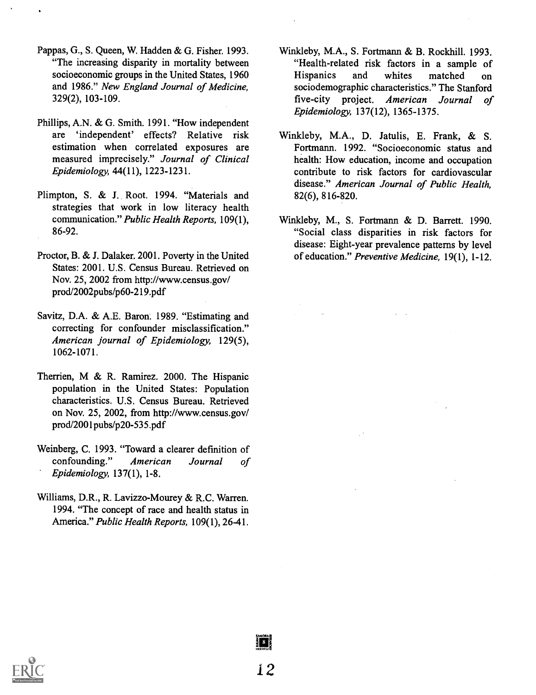- Pappas, G., S. Queen, W. Hadden & G. Fisher. 1993. "The increasing disparity in mortality between socioeconomic groups in the United States, 1960 and 1986." New England Journal of Medicine, 329(2), 103-109.
- Phillips, A.N. & G. Smith. 1991. "How independent are 'independent' effects? Relative risk estimation when correlated exposures are measured imprecisely." Journal of Clinical Epidemiology, 44(11), 1223-1231.
- Plimpton, S. & J. Root. 1994. "Materials and strategies that work in low literacy health communication." Public Health Reports, 109(1), 86-92.
- Proctor, B. & J. Dalaker. 2001. Poverty in the United States: 2001. U.S. Census Bureau. Retrieved on Nov. 25, 2002 from http://www.census.gov/ prod/2002pubs/p60-219.pdf
- Savitz, D.A. & A.E. Baron. 1989. "Estimating and correcting for confounder misclassification." American journal of Epidemiology, 129(5), 1062-1071.
- Therrien, M & R. Ramirez. 2000. The Hispanic population in the United States: Population characteristics. U.S. Census Bureau. Retrieved on Nov. 25, 2002, from http://www.census.gov/ prod/2001pubs/p20-535.pdf
- Weinberg, C. 1993. "Toward a clearer definition of confounding." American Journal of Epidemiology, 137(1), 1-8.
- Williams, D.R., R. Lavizzo-Mourey & R.C. Warren. 1994. "The concept of race and health status in America." Public Health Reports, 109(1), 26-41.
- Winkleby, M.A., S. Fortmann & B. Rockhill. 1993. "Health-related risk factors in a sample of Hispanics and whites matched on sociodemographic characteristics." The Stanford five-city project. American Journal of Epidemiology, 137(12), 1365-1375.
- Winkleby, M.A., D. Jatulis, E. Frank, & S. Fortmann. 1992. "Socioeconomic status and health: How education, income and occupation contribute to risk factors for cardiovascular disease." American Journal of Public Health, 82(6), 816-820.
- Winkleby, M., S. Fortmann & D. Barrett. 1990. "Social class disparities in risk factors for disease: Eight-year prevalence patterns by level of education." Preventive Medicine, 19(1), 1-12.



§ 8 |